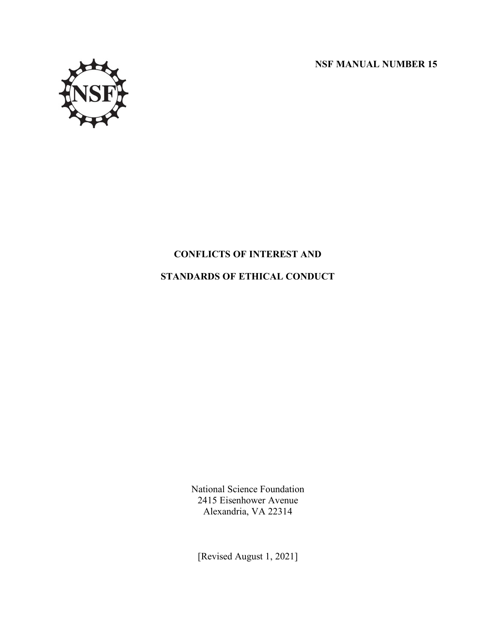**NSF MANUAL NUMBER 15**



# **CONFLICTS OF INTEREST AND**

# **STANDARDS OF ETHICAL CONDUCT**

National Science Foundation 2415 Eisenhower Avenue Alexandria, VA 22314

[Revised August 1, 2021]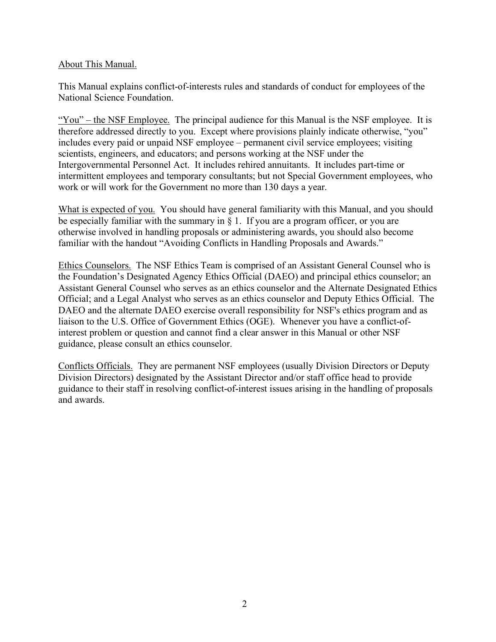#### About This Manual.

This Manual explains conflict-of-interests rules and standards of conduct for employees of the National Science Foundation.

"You" – the NSF Employee. The principal audience for this Manual is the NSF employee. It is therefore addressed directly to you. Except where provisions plainly indicate otherwise, "you" includes every paid or unpaid NSF employee – permanent civil service employees; visiting scientists, engineers, and educators; and persons working at the NSF under the Intergovernmental Personnel Act. It includes rehired annuitants. It includes part-time or intermittent employees and temporary consultants; but not Special Government employees, who work or will work for the Government no more than 130 days a year.

What is expected of you. You should have general familiarity with this Manual, and you should be especially familiar with the summary in  $\S$  1. If you are a program officer, or you are otherwise involved in handling proposals or administering awards, you should also become familiar with the handout "Avoiding Conflicts in Handling Proposals and Awards."

Ethics Counselors. The NSF Ethics Team is comprised of an Assistant General Counsel who is the Foundation's Designated Agency Ethics Official (DAEO) and principal ethics counselor; an Assistant General Counsel who serves as an ethics counselor and the Alternate Designated Ethics Official; and a Legal Analyst who serves as an ethics counselor and Deputy Ethics Official. The DAEO and the alternate DAEO exercise overall responsibility for NSF's ethics program and as liaison to the U.S. Office of Government Ethics (OGE). Whenever you have a conflict-ofinterest problem or question and cannot find a clear answer in this Manual or other NSF guidance, please consult an ethics counselor.

Conflicts Officials. They are permanent NSF employees (usually Division Directors or Deputy Division Directors) designated by the Assistant Director and/or staff office head to provide guidance to their staff in resolving conflict-of-interest issues arising in the handling of proposals and awards.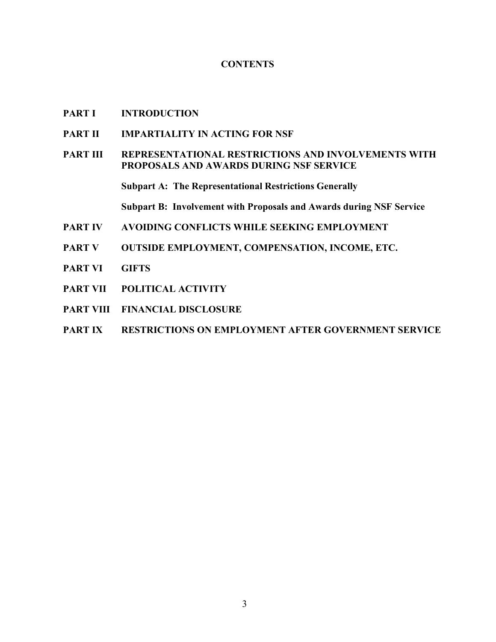#### **CONTENTS**

- **PART I INTRODUCTION**
- **PART II IMPARTIALITY IN ACTING FOR NSF**
- **PART III REPRESENTATIONAL RESTRICTIONS AND INVOLVEMENTS WITH PROPOSALS AND AWARDS DURING NSF SERVICE**

**Subpart A: The Representational Restrictions Generally**

**Subpart B: Involvement with Proposals and Awards during NSF Service**

- **PART IV AVOIDING CONFLICTS WHILE SEEKING EMPLOYMENT**
- **PART V OUTSIDE EMPLOYMENT, COMPENSATION, INCOME, ETC.**
- **PART VI GIFTS**
- **PART VII POLITICAL ACTIVITY**
- **PART VIII FINANCIAL DISCLOSURE**
- **PART IX RESTRICTIONS ON EMPLOYMENT AFTER GOVERNMENT SERVICE**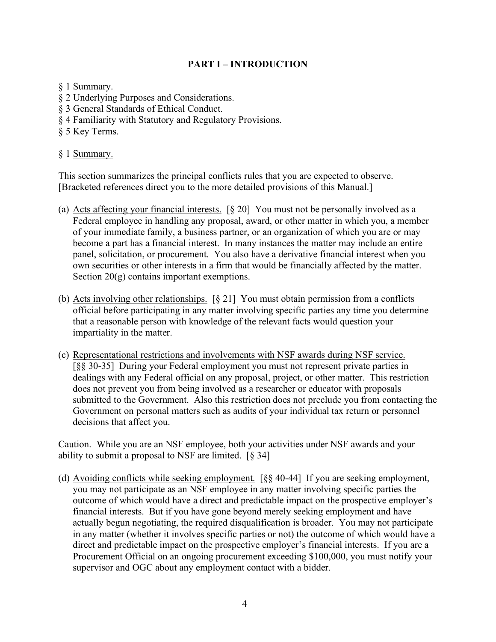# **PART I – INTRODUCTION**

§ 1 Summary.

- § 2 Underlying Purposes and Considerations.
- § 3 General Standards of Ethical Conduct.
- § 4 Familiarity with Statutory and Regulatory Provisions.
- § 5 Key Terms.

### § 1 Summary.

This section summarizes the principal conflicts rules that you are expected to observe. [Bracketed references direct you to the more detailed provisions of this Manual.]

- (a) Acts affecting your financial interests. [§ 20] You must not be personally involved as a Federal employee in handling any proposal, award, or other matter in which you, a member of your immediate family, a business partner, or an organization of which you are or may become a part has a financial interest. In many instances the matter may include an entire panel, solicitation, or procurement. You also have a derivative financial interest when you own securities or other interests in a firm that would be financially affected by the matter. Section  $20(g)$  contains important exemptions.
- (b) Acts involving other relationships. [§ 21] You must obtain permission from a conflicts official before participating in any matter involving specific parties any time you determine that a reasonable person with knowledge of the relevant facts would question your impartiality in the matter.
- (c) Representational restrictions and involvements with NSF awards during NSF service. [§§ 30-35] During your Federal employment you must not represent private parties in dealings with any Federal official on any proposal, project, or other matter. This restriction does not prevent you from being involved as a researcher or educator with proposals submitted to the Government. Also this restriction does not preclude you from contacting the Government on personal matters such as audits of your individual tax return or personnel decisions that affect you.

Caution. While you are an NSF employee, both your activities under NSF awards and your ability to submit a proposal to NSF are limited. [§ 34]

(d) Avoiding conflicts while seeking employment. [§§ 40-44] If you are seeking employment, you may not participate as an NSF employee in any matter involving specific parties the outcome of which would have a direct and predictable impact on the prospective employer's financial interests. But if you have gone beyond merely seeking employment and have actually begun negotiating, the required disqualification is broader. You may not participate in any matter (whether it involves specific parties or not) the outcome of which would have a direct and predictable impact on the prospective employer's financial interests. If you are a Procurement Official on an ongoing procurement exceeding \$100,000, you must notify your supervisor and OGC about any employment contact with a bidder.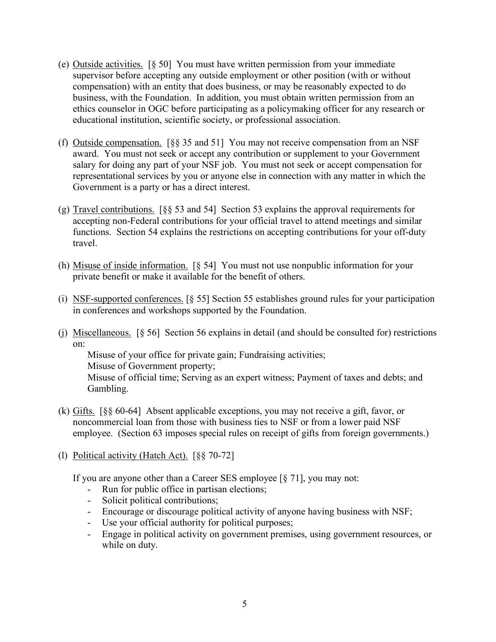- (e) Outside activities. [§ 50] You must have written permission from your immediate supervisor before accepting any outside employment or other position (with or without compensation) with an entity that does business, or may be reasonably expected to do business, with the Foundation. In addition, you must obtain written permission from an ethics counselor in OGC before participating as a policymaking officer for any research or educational institution, scientific society, or professional association.
- (f) Outside compensation. [§§ 35 and 51] You may not receive compensation from an NSF award. You must not seek or accept any contribution or supplement to your Government salary for doing any part of your NSF job. You must not seek or accept compensation for representational services by you or anyone else in connection with any matter in which the Government is a party or has a direct interest.
- (g) Travel contributions. [§§ 53 and 54] Section 53 explains the approval requirements for accepting non-Federal contributions for your official travel to attend meetings and similar functions. Section 54 explains the restrictions on accepting contributions for your off-duty travel.
- (h) Misuse of inside information. [§ 54] You must not use nonpublic information for your private benefit or make it available for the benefit of others.
- (i) NSF-supported conferences. [§ 55] Section 55 establishes ground rules for your participation in conferences and workshops supported by the Foundation.
- (j) Miscellaneous. [§ 56] Section 56 explains in detail (and should be consulted for) restrictions on:

Misuse of your office for private gain; Fundraising activities; Misuse of Government property; Misuse of official time; Serving as an expert witness; Payment of taxes and debts; and Gambling.

- (k) Gifts. [§§ 60-64] Absent applicable exceptions, you may not receive a gift, favor, or noncommercial loan from those with business ties to NSF or from a lower paid NSF employee. (Section 63 imposes special rules on receipt of gifts from foreign governments.)
- (l) Political activity (Hatch Act). [§§ 70-72]

If you are anyone other than a Career SES employee [§ 71], you may not:

- Run for public office in partisan elections;
- Solicit political contributions;
- Encourage or discourage political activity of anyone having business with NSF;
- Use your official authority for political purposes;
- Engage in political activity on government premises, using government resources, or while on duty.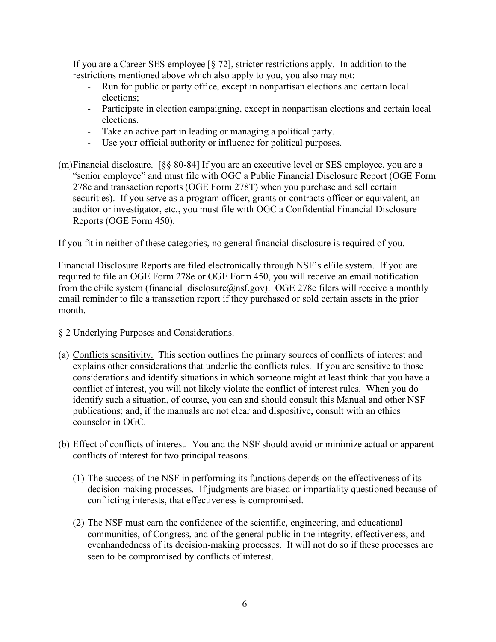If you are a Career SES employee [§ 72], stricter restrictions apply. In addition to the restrictions mentioned above which also apply to you, you also may not:

- Run for public or party office, except in nonpartisan elections and certain local elections;
- Participate in election campaigning, except in nonpartisan elections and certain local elections.
- Take an active part in leading or managing a political party.
- Use your official authority or influence for political purposes.
- (m)Financial disclosure. [§§ 80-84] If you are an executive level or SES employee, you are a "senior employee" and must file with OGC a Public Financial Disclosure Report (OGE Form 278e and transaction reports (OGE Form 278T) when you purchase and sell certain securities). If you serve as a program officer, grants or contracts officer or equivalent, an auditor or investigator, etc., you must file with OGC a Confidential Financial Disclosure Reports (OGE Form 450).

If you fit in neither of these categories, no general financial disclosure is required of you.

Financial Disclosure Reports are filed electronically through NSF's eFile system. If you are required to file an OGE Form 278e or OGE Form 450, you will receive an email notification from the eFile system (financial disclosure  $@nsf.gov$ ). OGE 278e filers will receive a monthly email reminder to file a transaction report if they purchased or sold certain assets in the prior month.

# § 2 Underlying Purposes and Considerations.

- (a) Conflicts sensitivity. This section outlines the primary sources of conflicts of interest and explains other considerations that underlie the conflicts rules. If you are sensitive to those considerations and identify situations in which someone might at least think that you have a conflict of interest, you will not likely violate the conflict of interest rules. When you do identify such a situation, of course, you can and should consult this Manual and other NSF publications; and, if the manuals are not clear and dispositive, consult with an ethics counselor in OGC.
- (b) Effect of conflicts of interest. You and the NSF should avoid or minimize actual or apparent conflicts of interest for two principal reasons.
	- (1) The success of the NSF in performing its functions depends on the effectiveness of its decision-making processes. If judgments are biased or impartiality questioned because of conflicting interests, that effectiveness is compromised.
	- (2) The NSF must earn the confidence of the scientific, engineering, and educational communities, of Congress, and of the general public in the integrity, effectiveness, and evenhandedness of its decision-making processes. It will not do so if these processes are seen to be compromised by conflicts of interest.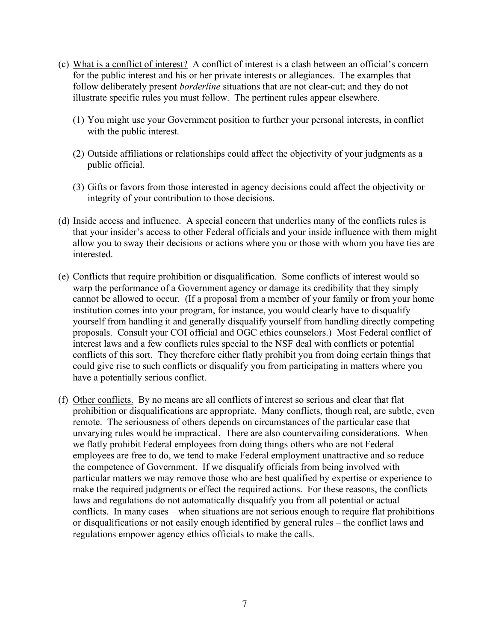- (c) What is a conflict of interest? A conflict of interest is a clash between an official's concern for the public interest and his or her private interests or allegiances. The examples that follow deliberately present *borderline* situations that are not clear-cut; and they do not illustrate specific rules you must follow. The pertinent rules appear elsewhere.
	- (1) You might use your Government position to further your personal interests, in conflict with the public interest.
	- (2) Outside affiliations or relationships could affect the objectivity of your judgments as a public official.
	- (3) Gifts or favors from those interested in agency decisions could affect the objectivity or integrity of your contribution to those decisions.
- (d) Inside access and influence. A special concern that underlies many of the conflicts rules is that your insider's access to other Federal officials and your inside influence with them might allow you to sway their decisions or actions where you or those with whom you have ties are interested.
- (e) Conflicts that require prohibition or disqualification. Some conflicts of interest would so warp the performance of a Government agency or damage its credibility that they simply cannot be allowed to occur. (If a proposal from a member of your family or from your home institution comes into your program, for instance, you would clearly have to disqualify yourself from handling it and generally disqualify yourself from handling directly competing proposals. Consult your COI official and OGC ethics counselors.) Most Federal conflict of interest laws and a few conflicts rules special to the NSF deal with conflicts or potential conflicts of this sort. They therefore either flatly prohibit you from doing certain things that could give rise to such conflicts or disqualify you from participating in matters where you have a potentially serious conflict.
- (f) Other conflicts. By no means are all conflicts of interest so serious and clear that flat prohibition or disqualifications are appropriate. Many conflicts, though real, are subtle, even remote. The seriousness of others depends on circumstances of the particular case that unvarying rules would be impractical. There are also countervailing considerations. When we flatly prohibit Federal employees from doing things others who are not Federal employees are free to do, we tend to make Federal employment unattractive and so reduce the competence of Government. If we disqualify officials from being involved with particular matters we may remove those who are best qualified by expertise or experience to make the required judgments or effect the required actions. For these reasons, the conflicts laws and regulations do not automatically disqualify you from all potential or actual conflicts. In many cases – when situations are not serious enough to require flat prohibitions or disqualifications or not easily enough identified by general rules – the conflict laws and regulations empower agency ethics officials to make the calls.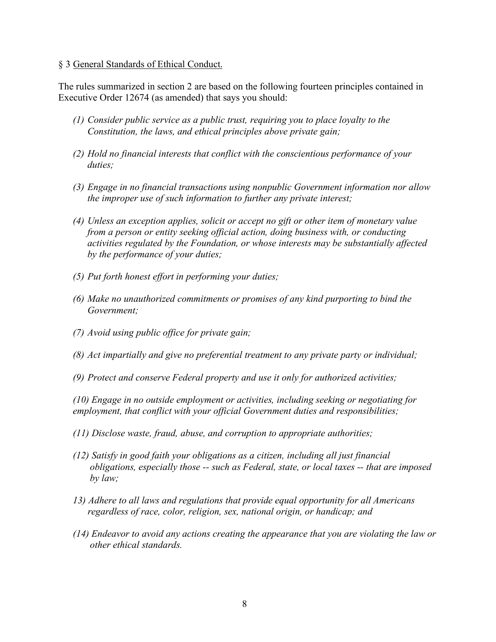#### § 3 General Standards of Ethical Conduct.

The rules summarized in section 2 are based on the following fourteen principles contained in Executive Order 12674 (as amended) that says you should:

- *(1) Consider public service as a public trust, requiring you to place loyalty to the Constitution, the laws, and ethical principles above private gain;*
- *(2) Hold no financial interests that conflict with the conscientious performance of your duties;*
- *(3) Engage in no financial transactions using nonpublic Government information nor allow the improper use of such information to further any private interest;*
- *(4) Unless an exception applies, solicit or accept no gift or other item of monetary value from a person or entity seeking official action, doing business with, or conducting activities regulated by the Foundation, or whose interests may be substantially affected by the performance of your duties;*
- *(5) Put forth honest effort in performing your duties;*
- *(6) Make no unauthorized commitments or promises of any kind purporting to bind the Government;*
- *(7) Avoid using public office for private gain;*
- *(8) Act impartially and give no preferential treatment to any private party or individual;*
- *(9) Protect and conserve Federal property and use it only for authorized activities;*

*(10) Engage in no outside employment or activities, including seeking or negotiating for employment, that conflict with your official Government duties and responsibilities;*

- *(11) Disclose waste, fraud, abuse, and corruption to appropriate authorities;*
- *(12) Satisfy in good faith your obligations as a citizen, including all just financial obligations, especially those -- such as Federal, state, or local taxes -- that are imposed by law;*
- *13) Adhere to all laws and regulations that provide equal opportunity for all Americans regardless of race, color, religion, sex, national origin, or handicap; and*
- *(14) Endeavor to avoid any actions creating the appearance that you are violating the law or other ethical standards.*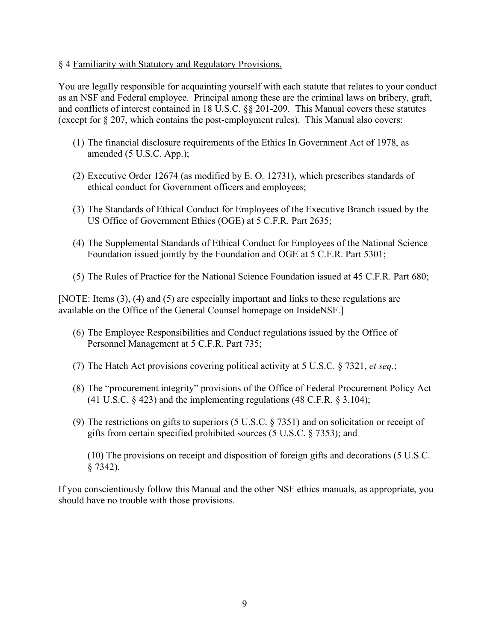#### § 4 Familiarity with Statutory and Regulatory Provisions.

You are legally responsible for acquainting yourself with each statute that relates to your conduct as an NSF and Federal employee. Principal among these are the criminal laws on bribery, graft, and conflicts of interest contained in 18 U.S.C. §§ 201-209. This Manual covers these statutes (except for § 207, which contains the post-employment rules). This Manual also covers:

- (1) The financial disclosure requirements of the Ethics In Government Act of 1978, as amended (5 U.S.C. App.);
- (2) Executive Order 12674 (as modified by E. O. 12731), which prescribes standards of ethical conduct for Government officers and employees;
- (3) The Standards of Ethical Conduct for Employees of the Executive Branch issued by the US Office of Government Ethics (OGE) at 5 C.F.R. Part 2635;
- (4) The Supplemental Standards of Ethical Conduct for Employees of the National Science Foundation issued jointly by the Foundation and OGE at 5 C.F.R. Part 5301;
- (5) The Rules of Practice for the National Science Foundation issued at 45 C.F.R. Part 680;

[NOTE: Items (3), (4) and (5) are especially important and links to these regulations are available on the Office of the General Counsel homepage on InsideNSF.]

- (6) The Employee Responsibilities and Conduct regulations issued by the Office of Personnel Management at 5 C.F.R. Part 735;
- (7) The Hatch Act provisions covering political activity at 5 U.S.C. § 7321, *et seq*.;
- (8) The "procurement integrity" provisions of the Office of Federal Procurement Policy Act (41 U.S.C.  $\S$  423) and the implementing regulations (48 C.F.R.  $\S$  3.104);
- (9) The restrictions on gifts to superiors (5 U.S.C. § 7351) and on solicitation or receipt of gifts from certain specified prohibited sources (5 U.S.C. § 7353); and

(10) The provisions on receipt and disposition of foreign gifts and decorations (5 U.S.C. § 7342).

If you conscientiously follow this Manual and the other NSF ethics manuals, as appropriate, you should have no trouble with those provisions.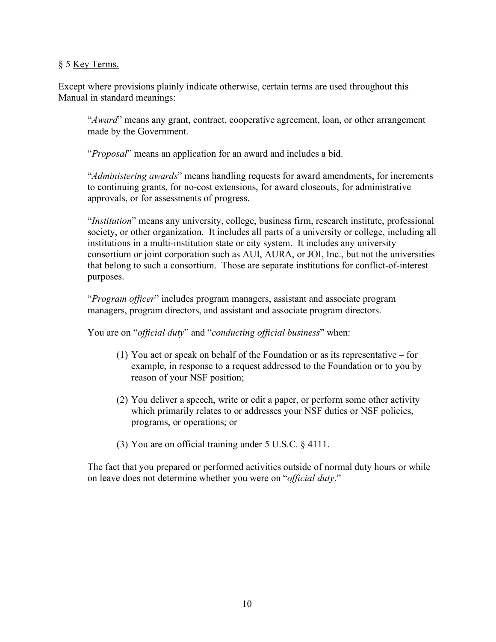### § 5 Key Terms.

Except where provisions plainly indicate otherwise, certain terms are used throughout this Manual in standard meanings:

"*Award*" means any grant, contract, cooperative agreement, loan, or other arrangement made by the Government.

"*Proposal*" means an application for an award and includes a bid.

"*Administering awards*" means handling requests for award amendments, for increments to continuing grants, for no-cost extensions, for award closeouts, for administrative approvals, or for assessments of progress.

"*Institution*" means any university, college, business firm, research institute, professional society, or other organization. It includes all parts of a university or college, including all institutions in a multi-institution state or city system. It includes any university consortium or joint corporation such as AUI, AURA, or JOI, Inc., but not the universities that belong to such a consortium. Those are separate institutions for conflict-of-interest purposes.

"*Program officer*" includes program managers, assistant and associate program managers, program directors, and assistant and associate program directors.

You are on "*official duty*" and "*conducting official business*" when:

- (1) You act or speak on behalf of the Foundation or as its representative for example, in response to a request addressed to the Foundation or to you by reason of your NSF position;
- (2) You deliver a speech, write or edit a paper, or perform some other activity which primarily relates to or addresses your NSF duties or NSF policies, programs, or operations; or
- (3) You are on official training under 5 U.S.C. § 4111.

The fact that you prepared or performed activities outside of normal duty hours or while on leave does not determine whether you were on "*official duty*."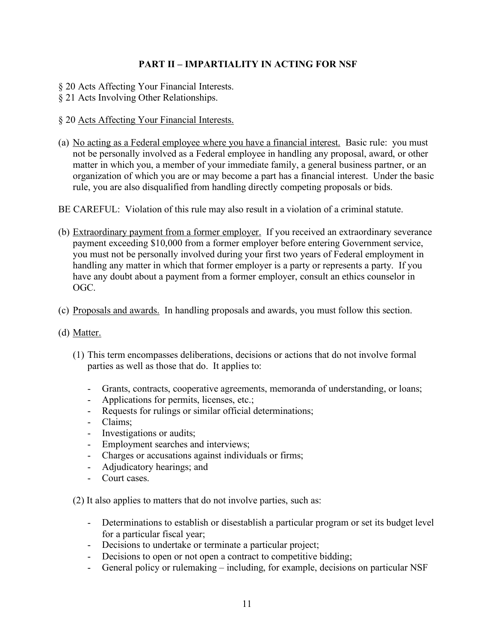# **PART II – IMPARTIALITY IN ACTING FOR NSF**

- § 20 Acts Affecting Your Financial Interests.
- § 21 Acts Involving Other Relationships.
- § 20 Acts Affecting Your Financial Interests.
- (a) No acting as a Federal employee where you have a financial interest. Basic rule: you must not be personally involved as a Federal employee in handling any proposal, award, or other matter in which you, a member of your immediate family, a general business partner, or an organization of which you are or may become a part has a financial interest. Under the basic rule, you are also disqualified from handling directly competing proposals or bids.
- BE CAREFUL: Violation of this rule may also result in a violation of a criminal statute.
- (b) Extraordinary payment from a former employer. If you received an extraordinary severance payment exceeding \$10,000 from a former employer before entering Government service, you must not be personally involved during your first two years of Federal employment in handling any matter in which that former employer is a party or represents a party. If you have any doubt about a payment from a former employer, consult an ethics counselor in OGC.
- (c) Proposals and awards. In handling proposals and awards, you must follow this section.
- (d) Matter.
	- (1) This term encompasses deliberations, decisions or actions that do not involve formal parties as well as those that do. It applies to:
		- Grants, contracts, cooperative agreements, memoranda of understanding, or loans;
		- Applications for permits, licenses, etc.;
		- Requests for rulings or similar official determinations;
		- Claims;
		- Investigations or audits;
		- Employment searches and interviews;
		- Charges or accusations against individuals or firms;
		- Adjudicatory hearings; and
		- Court cases.

(2) It also applies to matters that do not involve parties, such as:

- Determinations to establish or disestablish a particular program or set its budget level for a particular fiscal year;
- Decisions to undertake or terminate a particular project;
- Decisions to open or not open a contract to competitive bidding;
- General policy or rulemaking including, for example, decisions on particular NSF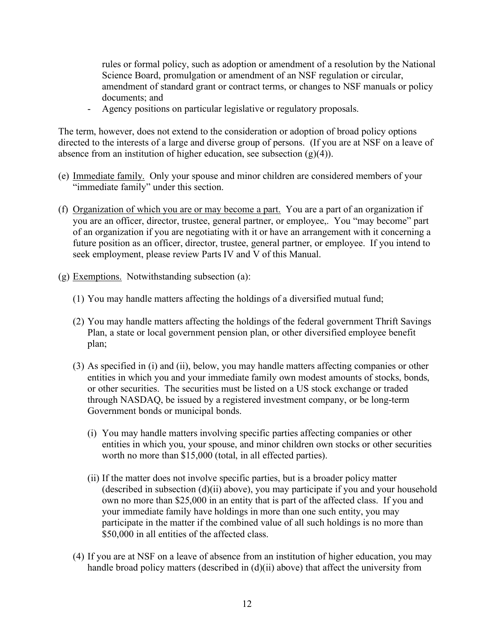rules or formal policy, such as adoption or amendment of a resolution by the National Science Board, promulgation or amendment of an NSF regulation or circular, amendment of standard grant or contract terms, or changes to NSF manuals or policy documents; and

- Agency positions on particular legislative or regulatory proposals.

The term, however, does not extend to the consideration or adoption of broad policy options directed to the interests of a large and diverse group of persons. (If you are at NSF on a leave of absence from an institution of higher education, see subsection  $(g)(4)$ ).

- (e) Immediate family. Only your spouse and minor children are considered members of your "immediate family" under this section.
- (f) Organization of which you are or may become a part. You are a part of an organization if you are an officer, director, trustee, general partner, or employee,. You "may become" part of an organization if you are negotiating with it or have an arrangement with it concerning a future position as an officer, director, trustee, general partner, or employee. If you intend to seek employment, please review Parts IV and V of this Manual.
- (g) Exemptions. Notwithstanding subsection (a):
	- (1) You may handle matters affecting the holdings of a diversified mutual fund;
	- (2) You may handle matters affecting the holdings of the federal government Thrift Savings Plan, a state or local government pension plan, or other diversified employee benefit plan;
	- (3) As specified in (i) and (ii), below, you may handle matters affecting companies or other entities in which you and your immediate family own modest amounts of stocks, bonds, or other securities. The securities must be listed on a US stock exchange or traded through NASDAQ, be issued by a registered investment company, or be long-term Government bonds or municipal bonds.
		- (i) You may handle matters involving specific parties affecting companies or other entities in which you, your spouse, and minor children own stocks or other securities worth no more than \$15,000 (total, in all effected parties).
		- (ii) If the matter does not involve specific parties, but is a broader policy matter (described in subsection  $(d)(ii)$  above), you may participate if you and your household own no more than \$25,000 in an entity that is part of the affected class. If you and your immediate family have holdings in more than one such entity, you may participate in the matter if the combined value of all such holdings is no more than \$50,000 in all entities of the affected class.
	- (4) If you are at NSF on a leave of absence from an institution of higher education, you may handle broad policy matters (described in (d)(ii) above) that affect the university from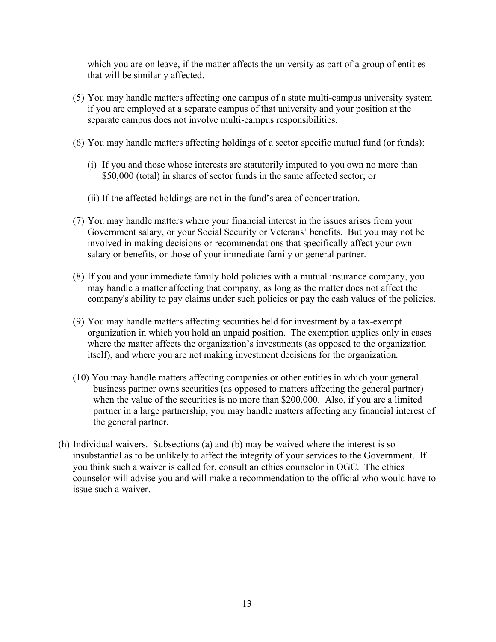which you are on leave, if the matter affects the university as part of a group of entities that will be similarly affected.

- (5) You may handle matters affecting one campus of a state multi-campus university system if you are employed at a separate campus of that university and your position at the separate campus does not involve multi-campus responsibilities.
- (6) You may handle matters affecting holdings of a sector specific mutual fund (or funds):
	- (i) If you and those whose interests are statutorily imputed to you own no more than \$50,000 (total) in shares of sector funds in the same affected sector; or
	- (ii) If the affected holdings are not in the fund's area of concentration.
- (7) You may handle matters where your financial interest in the issues arises from your Government salary, or your Social Security or Veterans' benefits. But you may not be involved in making decisions or recommendations that specifically affect your own salary or benefits, or those of your immediate family or general partner.
- (8) If you and your immediate family hold policies with a mutual insurance company, you may handle a matter affecting that company, as long as the matter does not affect the company's ability to pay claims under such policies or pay the cash values of the policies.
- (9) You may handle matters affecting securities held for investment by a tax-exempt organization in which you hold an unpaid position. The exemption applies only in cases where the matter affects the organization's investments (as opposed to the organization itself), and where you are not making investment decisions for the organization.
- (10) You may handle matters affecting companies or other entities in which your general business partner owns securities (as opposed to matters affecting the general partner) when the value of the securities is no more than \$200,000. Also, if you are a limited partner in a large partnership, you may handle matters affecting any financial interest of the general partner.
- (h) Individual waivers. Subsections (a) and (b) may be waived where the interest is so insubstantial as to be unlikely to affect the integrity of your services to the Government. If you think such a waiver is called for, consult an ethics counselor in OGC. The ethics counselor will advise you and will make a recommendation to the official who would have to issue such a waiver.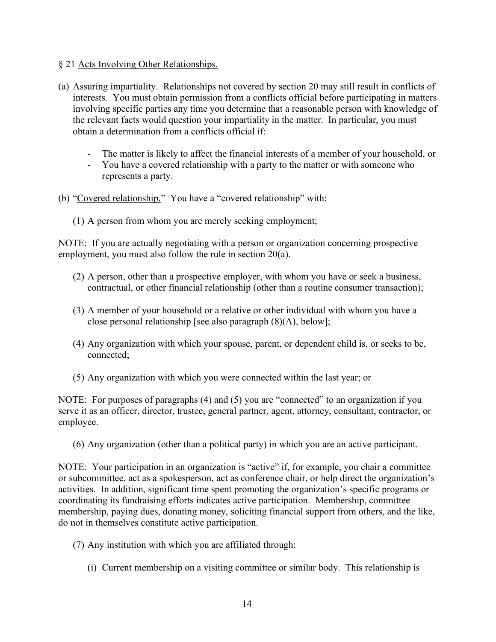- § 21 Acts Involving Other Relationships.
- (a) Assuring impartiality. Relationships not covered by section 20 may still result in conflicts of interests. You must obtain permission from a conflicts official before participating in matters involving specific parties any time you determine that a reasonable person with knowledge of the relevant facts would question your impartiality in the matter. In particular, you must obtain a determination from a conflicts official if:
	- The matter is likely to affect the financial interests of a member of your household, or
	- You have a covered relationship with a party to the matter or with someone who represents a party.
- (b) "Covered relationship." You have a "covered relationship" with:
	- (1) A person from whom you are merely seeking employment;

NOTE: If you are actually negotiating with a person or organization concerning prospective employment, you must also follow the rule in section 20(a).

- (2) A person, other than a prospective employer, with whom you have or seek a business, contractual, or other financial relationship (other than a routine consumer transaction);
- (3) A member of your household or a relative or other individual with whom you have a close personal relationship [see also paragraph (8)(A), below];
- (4) Any organization with which your spouse, parent, or dependent child is, or seeks to be, connected;
- (5) Any organization with which you were connected within the last year; or

NOTE: For purposes of paragraphs (4) and (5) you are "connected" to an organization if you serve it as an officer, director, trustee, general partner, agent, attorney, consultant, contractor, or employee.

(6) Any organization (other than a political party) in which you are an active participant.

NOTE: Your participation in an organization is "active" if, for example, you chair a committee or subcommittee, act as a spokesperson, act as conference chair, or help direct the organization's activities. In addition, significant time spent promoting the organization's specific programs or coordinating its fundraising efforts indicates active participation. Membership, committee membership, paying dues, donating money, soliciting financial support from others, and the like, do not in themselves constitute active participation.

- (7) Any institution with which you are affiliated through:
	- (i) Current membership on a visiting committee or similar body. This relationship is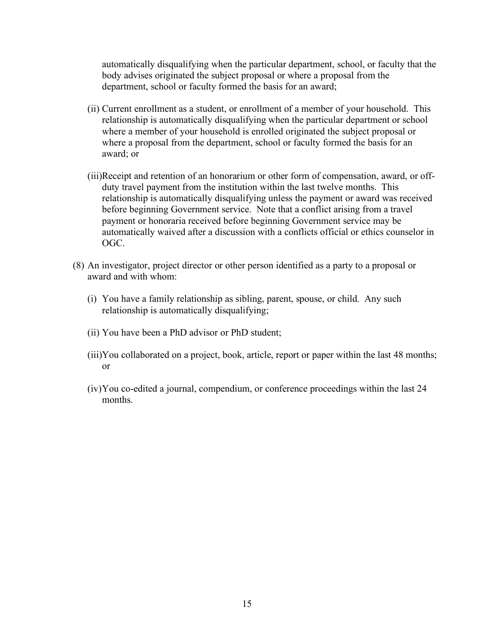automatically disqualifying when the particular department, school, or faculty that the body advises originated the subject proposal or where a proposal from the department, school or faculty formed the basis for an award;

- (ii) Current enrollment as a student, or enrollment of a member of your household. This relationship is automatically disqualifying when the particular department or school where a member of your household is enrolled originated the subject proposal or where a proposal from the department, school or faculty formed the basis for an award; or
- (iii)Receipt and retention of an honorarium or other form of compensation, award, or offduty travel payment from the institution within the last twelve months. This relationship is automatically disqualifying unless the payment or award was received before beginning Government service. Note that a conflict arising from a travel payment or honoraria received before beginning Government service may be automatically waived after a discussion with a conflicts official or ethics counselor in OGC.
- (8) An investigator, project director or other person identified as a party to a proposal or award and with whom:
	- (i) You have a family relationship as sibling, parent, spouse, or child. Any such relationship is automatically disqualifying;
	- (ii) You have been a PhD advisor or PhD student;
	- (iii)You collaborated on a project, book, article, report or paper within the last 48 months; or
	- (iv)You co-edited a journal, compendium, or conference proceedings within the last 24 months.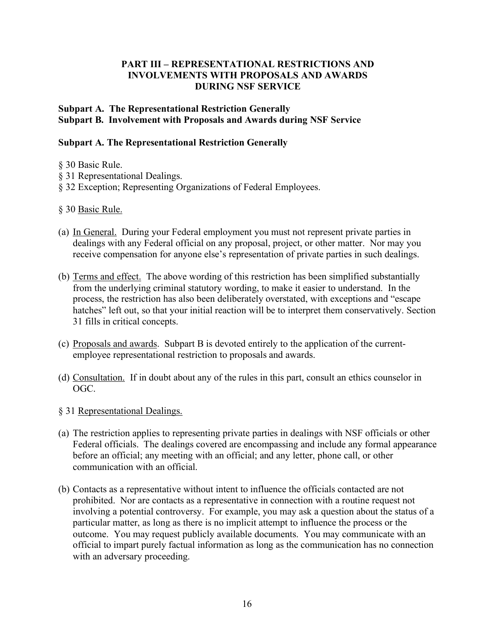## **PART III – REPRESENTATIONAL RESTRICTIONS AND INVOLVEMENTS WITH PROPOSALS AND AWARDS DURING NSF SERVICE**

# **Subpart A. The Representational Restriction Generally Subpart B. Involvement with Proposals and Awards during NSF Service**

### **Subpart A. The Representational Restriction Generally**

- § 30 Basic Rule.
- § 31 Representational Dealings.
- § 32 Exception; Representing Organizations of Federal Employees.
- § 30 Basic Rule.
- (a) In General. During your Federal employment you must not represent private parties in dealings with any Federal official on any proposal, project, or other matter. Nor may you receive compensation for anyone else's representation of private parties in such dealings.
- (b) Terms and effect. The above wording of this restriction has been simplified substantially from the underlying criminal statutory wording, to make it easier to understand. In the process, the restriction has also been deliberately overstated, with exceptions and "escape hatches" left out, so that your initial reaction will be to interpret them conservatively. Section 31 fills in critical concepts.
- (c) Proposals and awards. Subpart B is devoted entirely to the application of the currentemployee representational restriction to proposals and awards.
- (d) Consultation. If in doubt about any of the rules in this part, consult an ethics counselor in OGC.
- § 31 Representational Dealings.
- (a) The restriction applies to representing private parties in dealings with NSF officials or other Federal officials. The dealings covered are encompassing and include any formal appearance before an official; any meeting with an official; and any letter, phone call, or other communication with an official.
- (b) Contacts as a representative without intent to influence the officials contacted are not prohibited. Nor are contacts as a representative in connection with a routine request not involving a potential controversy. For example, you may ask a question about the status of a particular matter, as long as there is no implicit attempt to influence the process or the outcome. You may request publicly available documents. You may communicate with an official to impart purely factual information as long as the communication has no connection with an adversary proceeding.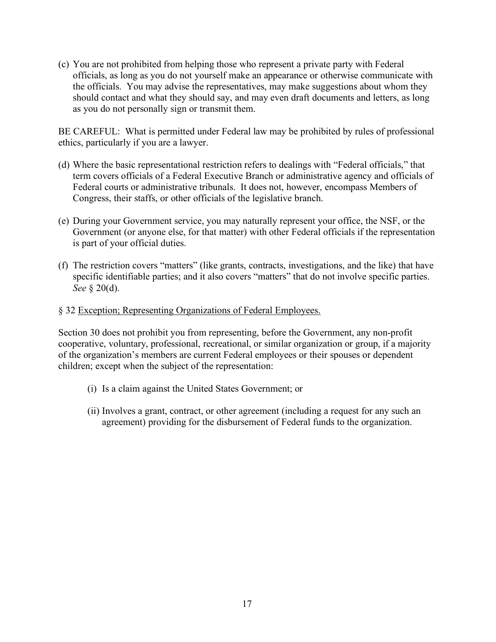(c) You are not prohibited from helping those who represent a private party with Federal officials, as long as you do not yourself make an appearance or otherwise communicate with the officials. You may advise the representatives, may make suggestions about whom they should contact and what they should say, and may even draft documents and letters, as long as you do not personally sign or transmit them.

BE CAREFUL: What is permitted under Federal law may be prohibited by rules of professional ethics, particularly if you are a lawyer.

- (d) Where the basic representational restriction refers to dealings with "Federal officials," that term covers officials of a Federal Executive Branch or administrative agency and officials of Federal courts or administrative tribunals. It does not, however, encompass Members of Congress, their staffs, or other officials of the legislative branch.
- (e) During your Government service, you may naturally represent your office, the NSF, or the Government (or anyone else, for that matter) with other Federal officials if the representation is part of your official duties.
- (f) The restriction covers "matters" (like grants, contracts, investigations, and the like) that have specific identifiable parties; and it also covers "matters" that do not involve specific parties. *See* § 20(d).

### § 32 Exception; Representing Organizations of Federal Employees.

Section 30 does not prohibit you from representing, before the Government, any non-profit cooperative, voluntary, professional, recreational, or similar organization or group, if a majority of the organization's members are current Federal employees or their spouses or dependent children; except when the subject of the representation:

- (i) Is a claim against the United States Government; or
- (ii) Involves a grant, contract, or other agreement (including a request for any such an agreement) providing for the disbursement of Federal funds to the organization.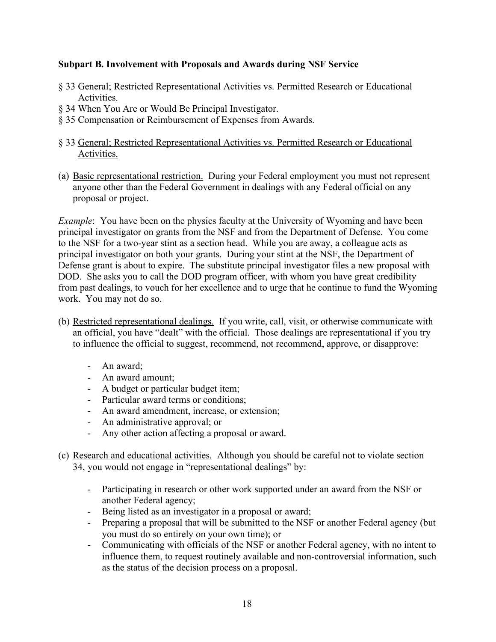# **Subpart B. Involvement with Proposals and Awards during NSF Service**

- § 33 General; Restricted Representational Activities vs. Permitted Research or Educational Activities.
- § 34 When You Are or Would Be Principal Investigator.
- § 35 Compensation or Reimbursement of Expenses from Awards.
- § 33 General; Restricted Representational Activities vs. Permitted Research or Educational Activities.
- (a) Basic representational restriction. During your Federal employment you must not represent anyone other than the Federal Government in dealings with any Federal official on any proposal or project.

*Example*: You have been on the physics faculty at the University of Wyoming and have been principal investigator on grants from the NSF and from the Department of Defense. You come to the NSF for a two-year stint as a section head. While you are away, a colleague acts as principal investigator on both your grants. During your stint at the NSF, the Department of Defense grant is about to expire. The substitute principal investigator files a new proposal with DOD. She asks you to call the DOD program officer, with whom you have great credibility from past dealings, to vouch for her excellence and to urge that he continue to fund the Wyoming work. You may not do so.

- (b) Restricted representational dealings. If you write, call, visit, or otherwise communicate with an official, you have "dealt" with the official. Those dealings are representational if you try to influence the official to suggest, recommend, not recommend, approve, or disapprove:
	- An award;
	- An award amount;
	- A budget or particular budget item;
	- Particular award terms or conditions;
	- An award amendment, increase, or extension;
	- An administrative approval; or
	- Any other action affecting a proposal or award.
- (c) Research and educational activities. Although you should be careful not to violate section 34, you would not engage in "representational dealings" by:
	- Participating in research or other work supported under an award from the NSF or another Federal agency;
	- Being listed as an investigator in a proposal or award;
	- Preparing a proposal that will be submitted to the NSF or another Federal agency (but you must do so entirely on your own time); or
	- Communicating with officials of the NSF or another Federal agency, with no intent to influence them, to request routinely available and non-controversial information, such as the status of the decision process on a proposal.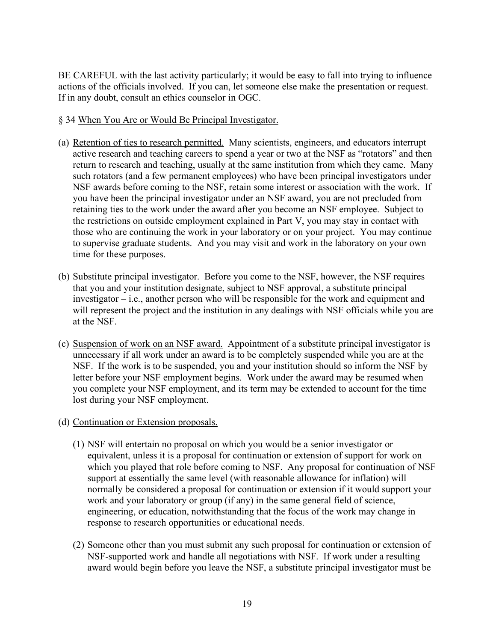BE CAREFUL with the last activity particularly; it would be easy to fall into trying to influence actions of the officials involved. If you can, let someone else make the presentation or request. If in any doubt, consult an ethics counselor in OGC.

### § 34 When You Are or Would Be Principal Investigator.

- (a) Retention of ties to research permitted. Many scientists, engineers, and educators interrupt active research and teaching careers to spend a year or two at the NSF as "rotators" and then return to research and teaching, usually at the same institution from which they came. Many such rotators (and a few permanent employees) who have been principal investigators under NSF awards before coming to the NSF, retain some interest or association with the work. If you have been the principal investigator under an NSF award, you are not precluded from retaining ties to the work under the award after you become an NSF employee. Subject to the restrictions on outside employment explained in Part V, you may stay in contact with those who are continuing the work in your laboratory or on your project. You may continue to supervise graduate students. And you may visit and work in the laboratory on your own time for these purposes.
- (b) Substitute principal investigator. Before you come to the NSF, however, the NSF requires that you and your institution designate, subject to NSF approval, a substitute principal investigator – i.e., another person who will be responsible for the work and equipment and will represent the project and the institution in any dealings with NSF officials while you are at the NSF.
- (c) Suspension of work on an NSF award. Appointment of a substitute principal investigator is unnecessary if all work under an award is to be completely suspended while you are at the NSF. If the work is to be suspended, you and your institution should so inform the NSF by letter before your NSF employment begins. Work under the award may be resumed when you complete your NSF employment, and its term may be extended to account for the time lost during your NSF employment.
- (d) Continuation or Extension proposals.
	- (1) NSF will entertain no proposal on which you would be a senior investigator or equivalent, unless it is a proposal for continuation or extension of support for work on which you played that role before coming to NSF. Any proposal for continuation of NSF support at essentially the same level (with reasonable allowance for inflation) will normally be considered a proposal for continuation or extension if it would support your work and your laboratory or group (if any) in the same general field of science, engineering, or education, notwithstanding that the focus of the work may change in response to research opportunities or educational needs.
	- (2) Someone other than you must submit any such proposal for continuation or extension of NSF-supported work and handle all negotiations with NSF. If work under a resulting award would begin before you leave the NSF, a substitute principal investigator must be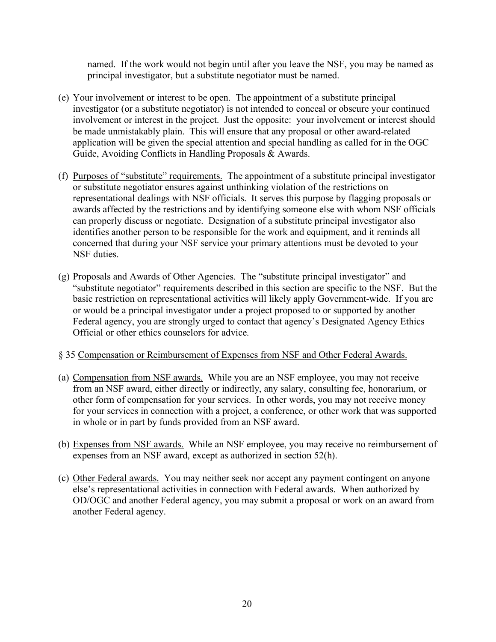named. If the work would not begin until after you leave the NSF, you may be named as principal investigator, but a substitute negotiator must be named.

- (e) Your involvement or interest to be open. The appointment of a substitute principal investigator (or a substitute negotiator) is not intended to conceal or obscure your continued involvement or interest in the project. Just the opposite: your involvement or interest should be made unmistakably plain. This will ensure that any proposal or other award-related application will be given the special attention and special handling as called for in the OGC Guide, Avoiding Conflicts in Handling Proposals & Awards.
- (f) Purposes of "substitute" requirements. The appointment of a substitute principal investigator or substitute negotiator ensures against unthinking violation of the restrictions on representational dealings with NSF officials. It serves this purpose by flagging proposals or awards affected by the restrictions and by identifying someone else with whom NSF officials can properly discuss or negotiate. Designation of a substitute principal investigator also identifies another person to be responsible for the work and equipment, and it reminds all concerned that during your NSF service your primary attentions must be devoted to your NSF duties.
- (g) Proposals and Awards of Other Agencies. The "substitute principal investigator" and "substitute negotiator" requirements described in this section are specific to the NSF. But the basic restriction on representational activities will likely apply Government-wide. If you are or would be a principal investigator under a project proposed to or supported by another Federal agency, you are strongly urged to contact that agency's Designated Agency Ethics Official or other ethics counselors for advice.

#### § 35 Compensation or Reimbursement of Expenses from NSF and Other Federal Awards.

- (a) Compensation from NSF awards. While you are an NSF employee, you may not receive from an NSF award, either directly or indirectly, any salary, consulting fee, honorarium, or other form of compensation for your services. In other words, you may not receive money for your services in connection with a project, a conference, or other work that was supported in whole or in part by funds provided from an NSF award.
- (b) Expenses from NSF awards. While an NSF employee, you may receive no reimbursement of expenses from an NSF award, except as authorized in section 52(h).
- (c) Other Federal awards. You may neither seek nor accept any payment contingent on anyone else's representational activities in connection with Federal awards. When authorized by OD/OGC and another Federal agency, you may submit a proposal or work on an award from another Federal agency.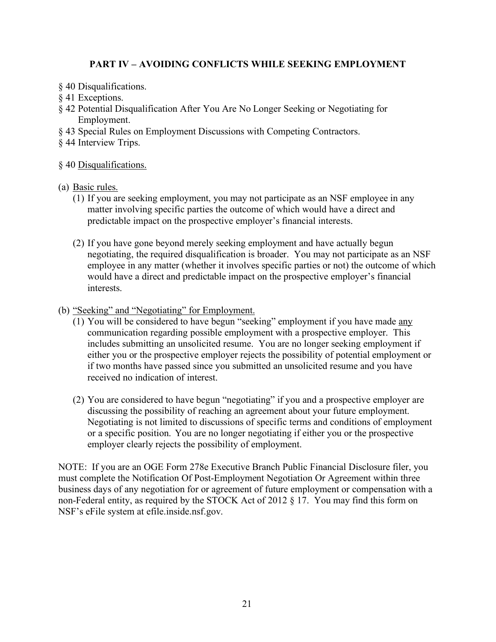# **PART IV – AVOIDING CONFLICTS WHILE SEEKING EMPLOYMENT**

- § 40 Disqualifications.
- § 41 Exceptions.
- § 42 Potential Disqualification After You Are No Longer Seeking or Negotiating for Employment.
- § 43 Special Rules on Employment Discussions with Competing Contractors.
- § 44 Interview Trips.

# § 40 Disqualifications.

- (a) Basic rules.
	- (1) If you are seeking employment, you may not participate as an NSF employee in any matter involving specific parties the outcome of which would have a direct and predictable impact on the prospective employer's financial interests.
	- (2) If you have gone beyond merely seeking employment and have actually begun negotiating, the required disqualification is broader. You may not participate as an NSF employee in any matter (whether it involves specific parties or not) the outcome of which would have a direct and predictable impact on the prospective employer's financial interests.
- (b) "Seeking" and "Negotiating" for Employment.
	- (1) You will be considered to have begun "seeking" employment if you have made any communication regarding possible employment with a prospective employer. This includes submitting an unsolicited resume. You are no longer seeking employment if either you or the prospective employer rejects the possibility of potential employment or if two months have passed since you submitted an unsolicited resume and you have received no indication of interest.
	- (2) You are considered to have begun "negotiating" if you and a prospective employer are discussing the possibility of reaching an agreement about your future employment. Negotiating is not limited to discussions of specific terms and conditions of employment or a specific position. You are no longer negotiating if either you or the prospective employer clearly rejects the possibility of employment.

NOTE: If you are an OGE Form 278e Executive Branch Public Financial Disclosure filer, you must complete the Notification Of Post-Employment Negotiation Or Agreement within three business days of any negotiation for or agreement of future employment or compensation with a non-Federal entity, as required by the STOCK Act of 2012 § 17. You may find this form on NSF's eFile system at efile.inside.nsf.gov.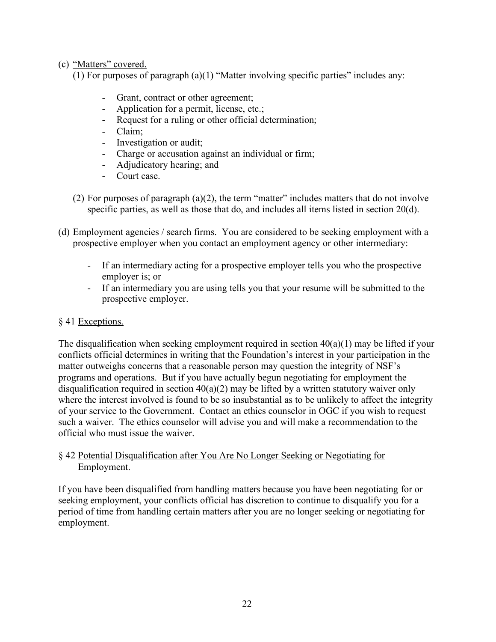# (c) "Matters" covered.

(1) For purposes of paragraph (a)(1) "Matter involving specific parties" includes any:

- Grant, contract or other agreement;
- Application for a permit, license, etc.;
- Request for a ruling or other official determination;
- Claim;
- Investigation or audit;
- Charge or accusation against an individual or firm;
- Adjudicatory hearing; and
- Court case.
- (2) For purposes of paragraph  $(a)(2)$ , the term "matter" includes matters that do not involve specific parties, as well as those that do, and includes all items listed in section 20(d).
- (d) Employment agencies / search firms. You are considered to be seeking employment with a prospective employer when you contact an employment agency or other intermediary:
	- If an intermediary acting for a prospective employer tells you who the prospective employer is; or
	- If an intermediary you are using tells you that your resume will be submitted to the prospective employer.

# § 41 Exceptions.

The disqualification when seeking employment required in section  $40(a)(1)$  may be lifted if your conflicts official determines in writing that the Foundation's interest in your participation in the matter outweighs concerns that a reasonable person may question the integrity of NSF's programs and operations. But if you have actually begun negotiating for employment the disqualification required in section  $40(a)(2)$  may be lifted by a written statutory waiver only where the interest involved is found to be so insubstantial as to be unlikely to affect the integrity of your service to the Government. Contact an ethics counselor in OGC if you wish to request such a waiver. The ethics counselor will advise you and will make a recommendation to the official who must issue the waiver.

# § 42 Potential Disqualification after You Are No Longer Seeking or Negotiating for Employment.

If you have been disqualified from handling matters because you have been negotiating for or seeking employment, your conflicts official has discretion to continue to disqualify you for a period of time from handling certain matters after you are no longer seeking or negotiating for employment.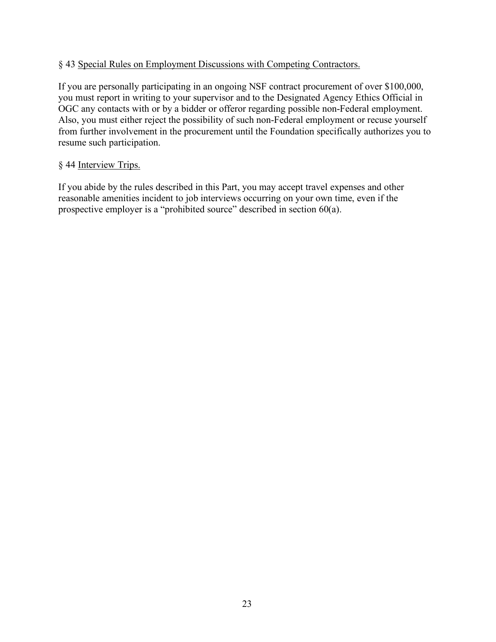### § 43 Special Rules on Employment Discussions with Competing Contractors.

If you are personally participating in an ongoing NSF contract procurement of over \$100,000, you must report in writing to your supervisor and to the Designated Agency Ethics Official in OGC any contacts with or by a bidder or offeror regarding possible non-Federal employment. Also, you must either reject the possibility of such non-Federal employment or recuse yourself from further involvement in the procurement until the Foundation specifically authorizes you to resume such participation.

### § 44 Interview Trips.

If you abide by the rules described in this Part, you may accept travel expenses and other reasonable amenities incident to job interviews occurring on your own time, even if the prospective employer is a "prohibited source" described in section 60(a).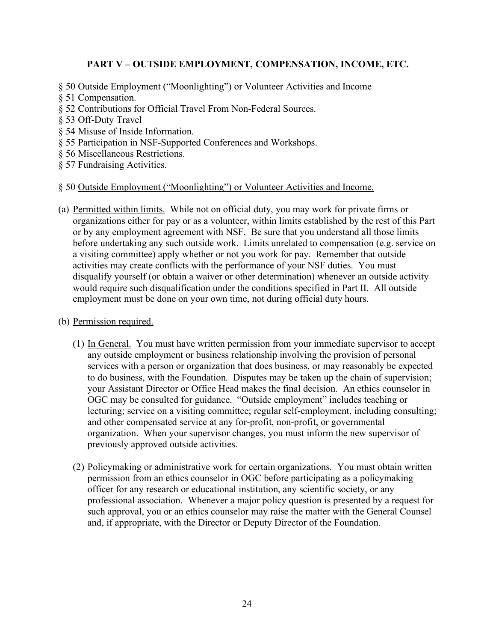# **PART V – OUTSIDE EMPLOYMENT, COMPENSATION, INCOME, ETC.**

- § 50 Outside Employment ("Moonlighting") or Volunteer Activities and Income
- § 51 Compensation.
- § 52 Contributions for Official Travel From Non-Federal Sources.
- § 53 Off-Duty Travel
- § 54 Misuse of Inside Information.
- § 55 Participation in NSF-Supported Conferences and Workshops.
- § 56 Miscellaneous Restrictions.
- § 57 Fundraising Activities.

#### § 50 Outside Employment ("Moonlighting") or Volunteer Activities and Income.

- (a) Permitted within limits. While not on official duty, you may work for private firms or organizations either for pay or as a volunteer, within limits established by the rest of this Part or by any employment agreement with NSF. Be sure that you understand all those limits before undertaking any such outside work. Limits unrelated to compensation (e.g. service on a visiting committee) apply whether or not you work for pay. Remember that outside activities may create conflicts with the performance of your NSF duties. You must disqualify yourself (or obtain a waiver or other determination) whenever an outside activity would require such disqualification under the conditions specified in Part II. All outside employment must be done on your own time, not during official duty hours.
- (b) Permission required.
	- (1) In General. You must have written permission from your immediate supervisor to accept any outside employment or business relationship involving the provision of personal services with a person or organization that does business, or may reasonably be expected to do business, with the Foundation. Disputes may be taken up the chain of supervision; your Assistant Director or Office Head makes the final decision. An ethics counselor in OGC may be consulted for guidance. "Outside employment" includes teaching or lecturing; service on a visiting committee; regular self-employment, including consulting; and other compensated service at any for-profit, non-profit, or governmental organization. When your supervisor changes, you must inform the new supervisor of previously approved outside activities.
	- (2) Policymaking or administrative work for certain organizations. You must obtain written permission from an ethics counselor in OGC before participating as a policymaking officer for any research or educational institution, any scientific society, or any professional association. Whenever a major policy question is presented by a request for such approval, you or an ethics counselor may raise the matter with the General Counsel and, if appropriate, with the Director or Deputy Director of the Foundation.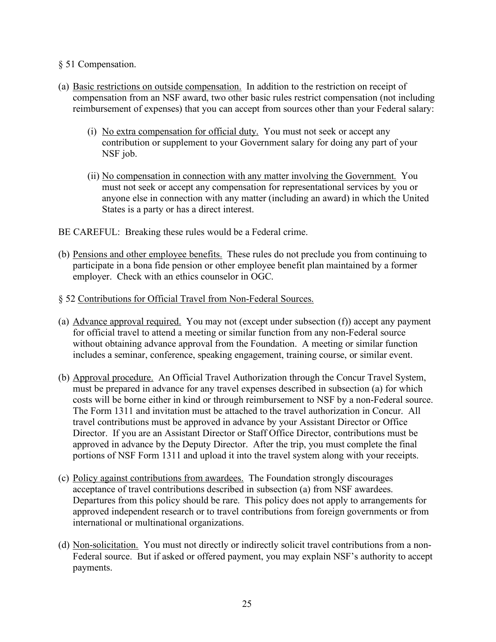### § 51 Compensation.

- (a) Basic restrictions on outside compensation. In addition to the restriction on receipt of compensation from an NSF award, two other basic rules restrict compensation (not including reimbursement of expenses) that you can accept from sources other than your Federal salary:
	- (i) No extra compensation for official duty. You must not seek or accept any contribution or supplement to your Government salary for doing any part of your NSF job.
	- (ii) No compensation in connection with any matter involving the Government. You must not seek or accept any compensation for representational services by you or anyone else in connection with any matter (including an award) in which the United States is a party or has a direct interest.
- BE CAREFUL: Breaking these rules would be a Federal crime.
- (b) Pensions and other employee benefits. These rules do not preclude you from continuing to participate in a bona fide pension or other employee benefit plan maintained by a former employer. Check with an ethics counselor in OGC.
- § 52 Contributions for Official Travel from Non-Federal Sources.
- (a) Advance approval required. You may not (except under subsection (f)) accept any payment for official travel to attend a meeting or similar function from any non-Federal source without obtaining advance approval from the Foundation. A meeting or similar function includes a seminar, conference, speaking engagement, training course, or similar event.
- (b) Approval procedure. An Official Travel Authorization through the Concur Travel System, must be prepared in advance for any travel expenses described in subsection (a) for which costs will be borne either in kind or through reimbursement to NSF by a non-Federal source. The Form 1311 and invitation must be attached to the travel authorization in Concur. All travel contributions must be approved in advance by your Assistant Director or Office Director. If you are an Assistant Director or Staff Office Director, contributions must be approved in advance by the Deputy Director. After the trip, you must complete the final portions of NSF Form 1311 and upload it into the travel system along with your receipts.
- (c) Policy against contributions from awardees. The Foundation strongly discourages acceptance of travel contributions described in subsection (a) from NSF awardees. Departures from this policy should be rare. This policy does not apply to arrangements for approved independent research or to travel contributions from foreign governments or from international or multinational organizations.
- (d) Non-solicitation. You must not directly or indirectly solicit travel contributions from a non-Federal source. But if asked or offered payment, you may explain NSF's authority to accept payments.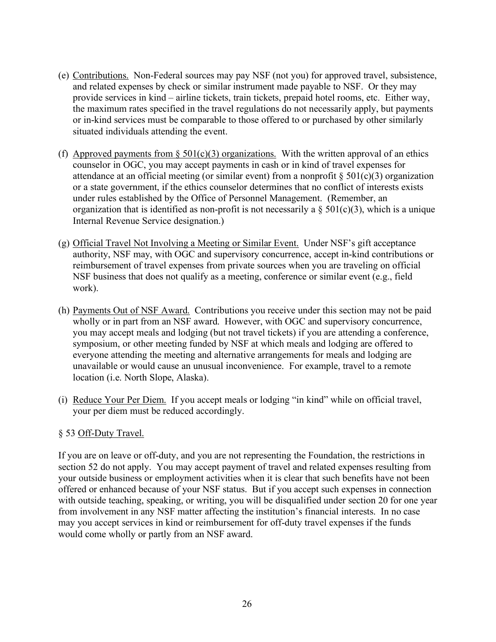- (e) Contributions. Non-Federal sources may pay NSF (not you) for approved travel, subsistence, and related expenses by check or similar instrument made payable to NSF. Or they may provide services in kind – airline tickets, train tickets, prepaid hotel rooms, etc. Either way, the maximum rates specified in the travel regulations do not necessarily apply, but payments or in-kind services must be comparable to those offered to or purchased by other similarly situated individuals attending the event.
- (f) Approved payments from  $\S 501(c)(3)$  organizations. With the written approval of an ethics counselor in OGC, you may accept payments in cash or in kind of travel expenses for attendance at an official meeting (or similar event) from a nonprofit  $\S 501(c)(3)$  organization or a state government, if the ethics counselor determines that no conflict of interests exists under rules established by the Office of Personnel Management. (Remember, an organization that is identified as non-profit is not necessarily a  $\S 501(c)(3)$ , which is a unique Internal Revenue Service designation.)
- (g) Official Travel Not Involving a Meeting or Similar Event. Under NSF's gift acceptance authority, NSF may, with OGC and supervisory concurrence, accept in-kind contributions or reimbursement of travel expenses from private sources when you are traveling on official NSF business that does not qualify as a meeting, conference or similar event (e.g., field work).
- (h) Payments Out of NSF Award. Contributions you receive under this section may not be paid wholly or in part from an NSF award. However, with OGC and supervisory concurrence, you may accept meals and lodging (but not travel tickets) if you are attending a conference, symposium, or other meeting funded by NSF at which meals and lodging are offered to everyone attending the meeting and alternative arrangements for meals and lodging are unavailable or would cause an unusual inconvenience. For example, travel to a remote location (i.e. North Slope, Alaska).
- (i) Reduce Your Per Diem. If you accept meals or lodging "in kind" while on official travel, your per diem must be reduced accordingly.

# § 53 Off-Duty Travel.

If you are on leave or off-duty, and you are not representing the Foundation, the restrictions in section 52 do not apply. You may accept payment of travel and related expenses resulting from your outside business or employment activities when it is clear that such benefits have not been offered or enhanced because of your NSF status. But if you accept such expenses in connection with outside teaching, speaking, or writing, you will be disqualified under section 20 for one year from involvement in any NSF matter affecting the institution's financial interests. In no case may you accept services in kind or reimbursement for off-duty travel expenses if the funds would come wholly or partly from an NSF award.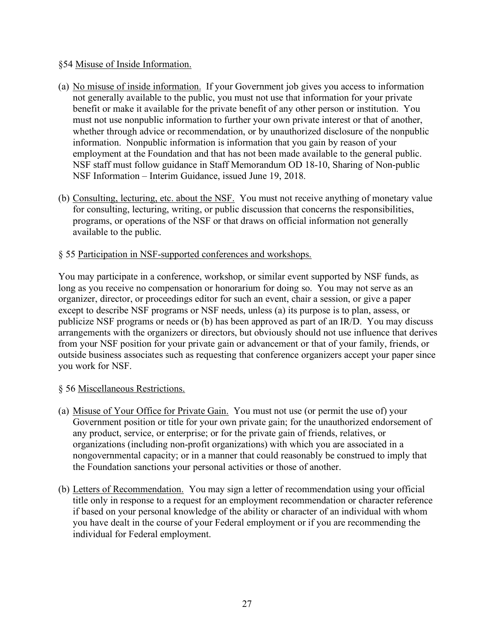### §54 Misuse of Inside Information.

- (a) No misuse of inside information. If your Government job gives you access to information not generally available to the public, you must not use that information for your private benefit or make it available for the private benefit of any other person or institution. You must not use nonpublic information to further your own private interest or that of another, whether through advice or recommendation, or by unauthorized disclosure of the nonpublic information. Nonpublic information is information that you gain by reason of your employment at the Foundation and that has not been made available to the general public. NSF staff must follow guidance in Staff Memorandum OD 18-10, Sharing of Non-public NSF Information – Interim Guidance, issued June 19, 2018.
- (b) Consulting, lecturing, etc. about the NSF. You must not receive anything of monetary value for consulting, lecturing, writing, or public discussion that concerns the responsibilities, programs, or operations of the NSF or that draws on official information not generally available to the public.

### § 55 Participation in NSF-supported conferences and workshops.

You may participate in a conference, workshop, or similar event supported by NSF funds, as long as you receive no compensation or honorarium for doing so. You may not serve as an organizer, director, or proceedings editor for such an event, chair a session, or give a paper except to describe NSF programs or NSF needs, unless (a) its purpose is to plan, assess, or publicize NSF programs or needs or (b) has been approved as part of an IR/D. You may discuss arrangements with the organizers or directors, but obviously should not use influence that derives from your NSF position for your private gain or advancement or that of your family, friends, or outside business associates such as requesting that conference organizers accept your paper since you work for NSF.

#### § 56 Miscellaneous Restrictions.

- (a) Misuse of Your Office for Private Gain. You must not use (or permit the use of) your Government position or title for your own private gain; for the unauthorized endorsement of any product, service, or enterprise; or for the private gain of friends, relatives, or organizations (including non-profit organizations) with which you are associated in a nongovernmental capacity; or in a manner that could reasonably be construed to imply that the Foundation sanctions your personal activities or those of another.
- (b) Letters of Recommendation. You may sign a letter of recommendation using your official title only in response to a request for an employment recommendation or character reference if based on your personal knowledge of the ability or character of an individual with whom you have dealt in the course of your Federal employment or if you are recommending the individual for Federal employment.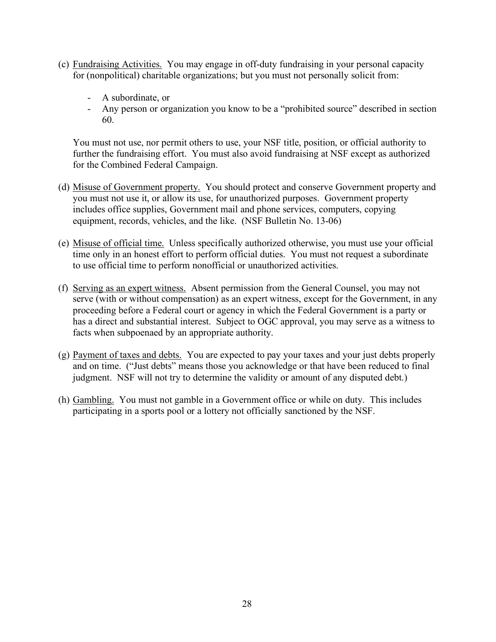- (c) Fundraising Activities. You may engage in off-duty fundraising in your personal capacity for (nonpolitical) charitable organizations; but you must not personally solicit from:
	- A subordinate, or
	- Any person or organization you know to be a "prohibited source" described in section 60.

You must not use, nor permit others to use, your NSF title, position, or official authority to further the fundraising effort. You must also avoid fundraising at NSF except as authorized for the Combined Federal Campaign.

- (d) Misuse of Government property. You should protect and conserve Government property and you must not use it, or allow its use, for unauthorized purposes. Government property includes office supplies, Government mail and phone services, computers, copying equipment, records, vehicles, and the like. (NSF Bulletin No. 13-06)
- (e) Misuse of official time. Unless specifically authorized otherwise, you must use your official time only in an honest effort to perform official duties. You must not request a subordinate to use official time to perform nonofficial or unauthorized activities.
- (f) Serving as an expert witness. Absent permission from the General Counsel, you may not serve (with or without compensation) as an expert witness, except for the Government, in any proceeding before a Federal court or agency in which the Federal Government is a party or has a direct and substantial interest. Subject to OGC approval, you may serve as a witness to facts when subpoenaed by an appropriate authority.
- (g) Payment of taxes and debts. You are expected to pay your taxes and your just debts properly and on time. ("Just debts" means those you acknowledge or that have been reduced to final judgment. NSF will not try to determine the validity or amount of any disputed debt.)
- (h) Gambling. You must not gamble in a Government office or while on duty. This includes participating in a sports pool or a lottery not officially sanctioned by the NSF.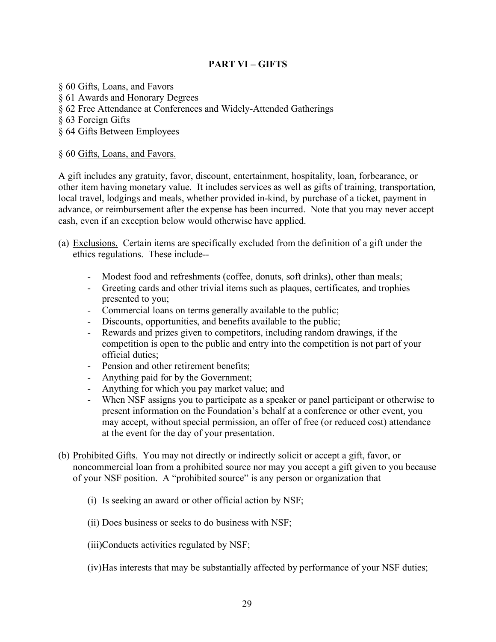# **PART VI – GIFTS**

- § 60 Gifts, Loans, and Favors
- § 61 Awards and Honorary Degrees
- § 62 Free Attendance at Conferences and Widely-Attended Gatherings
- § 63 Foreign Gifts
- § 64 Gifts Between Employees

### § 60 Gifts, Loans, and Favors.

A gift includes any gratuity, favor, discount, entertainment, hospitality, loan, forbearance, or other item having monetary value. It includes services as well as gifts of training, transportation, local travel, lodgings and meals, whether provided in-kind, by purchase of a ticket, payment in advance, or reimbursement after the expense has been incurred. Note that you may never accept cash, even if an exception below would otherwise have applied.

- (a) Exclusions. Certain items are specifically excluded from the definition of a gift under the ethics regulations. These include--
	- Modest food and refreshments (coffee, donuts, soft drinks), other than meals;
	- Greeting cards and other trivial items such as plaques, certificates, and trophies presented to you;
	- Commercial loans on terms generally available to the public;
	- Discounts, opportunities, and benefits available to the public;
	- Rewards and prizes given to competitors, including random drawings, if the competition is open to the public and entry into the competition is not part of your official duties;
	- Pension and other retirement benefits;
	- Anything paid for by the Government;
	- Anything for which you pay market value; and
	- When NSF assigns you to participate as a speaker or panel participant or otherwise to present information on the Foundation's behalf at a conference or other event, you may accept, without special permission, an offer of free (or reduced cost) attendance at the event for the day of your presentation.
- (b) Prohibited Gifts. You may not directly or indirectly solicit or accept a gift, favor, or noncommercial loan from a prohibited source nor may you accept a gift given to you because of your NSF position. A "prohibited source" is any person or organization that
	- (i) Is seeking an award or other official action by NSF;
	- (ii) Does business or seeks to do business with NSF;
	- (iii)Conducts activities regulated by NSF;
	- (iv)Has interests that may be substantially affected by performance of your NSF duties;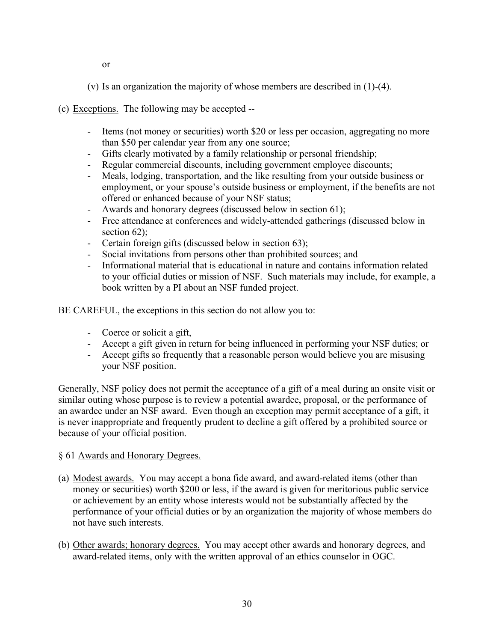or

(v) Is an organization the majority of whose members are described in (1)-(4).

(c) Exceptions. The following may be accepted --

- Items (not money or securities) worth \$20 or less per occasion, aggregating no more than \$50 per calendar year from any one source;
- Gifts clearly motivated by a family relationship or personal friendship;
- Regular commercial discounts, including government employee discounts;
- Meals, lodging, transportation, and the like resulting from your outside business or employment, or your spouse's outside business or employment, if the benefits are not offered or enhanced because of your NSF status;
- Awards and honorary degrees (discussed below in section 61);
- Free attendance at conferences and widely-attended gatherings (discussed below in section 62);
- Certain foreign gifts (discussed below in section 63);
- Social invitations from persons other than prohibited sources; and
- Informational material that is educational in nature and contains information related to your official duties or mission of NSF. Such materials may include, for example, a book written by a PI about an NSF funded project.

BE CAREFUL, the exceptions in this section do not allow you to:

- Coerce or solicit a gift,
- Accept a gift given in return for being influenced in performing your NSF duties; or
- Accept gifts so frequently that a reasonable person would believe you are misusing your NSF position.

Generally, NSF policy does not permit the acceptance of a gift of a meal during an onsite visit or similar outing whose purpose is to review a potential awardee, proposal, or the performance of an awardee under an NSF award. Even though an exception may permit acceptance of a gift, it is never inappropriate and frequently prudent to decline a gift offered by a prohibited source or because of your official position.

- § 61 Awards and Honorary Degrees.
- (a) Modest awards. You may accept a bona fide award, and award-related items (other than money or securities) worth \$200 or less, if the award is given for meritorious public service or achievement by an entity whose interests would not be substantially affected by the performance of your official duties or by an organization the majority of whose members do not have such interests.
- (b) Other awards; honorary degrees. You may accept other awards and honorary degrees, and award-related items, only with the written approval of an ethics counselor in OGC.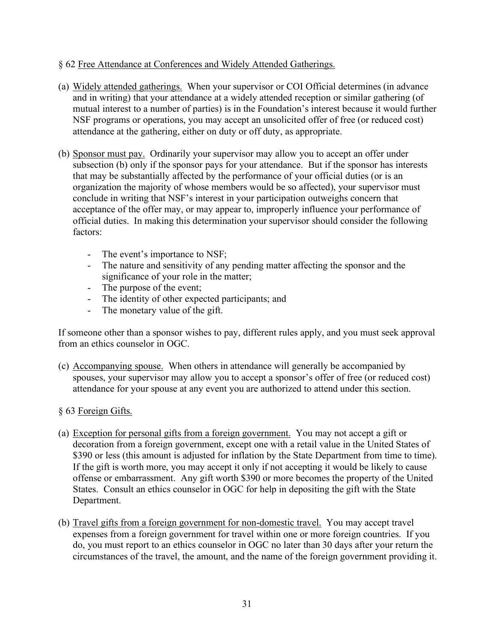### § 62 Free Attendance at Conferences and Widely Attended Gatherings.

- (a) Widely attended gatherings. When your supervisor or COI Official determines (in advance and in writing) that your attendance at a widely attended reception or similar gathering (of mutual interest to a number of parties) is in the Foundation's interest because it would further NSF programs or operations, you may accept an unsolicited offer of free (or reduced cost) attendance at the gathering, either on duty or off duty, as appropriate.
- (b) Sponsor must pay. Ordinarily your supervisor may allow you to accept an offer under subsection (b) only if the sponsor pays for your attendance. But if the sponsor has interests that may be substantially affected by the performance of your official duties (or is an organization the majority of whose members would be so affected), your supervisor must conclude in writing that NSF's interest in your participation outweighs concern that acceptance of the offer may, or may appear to, improperly influence your performance of official duties. In making this determination your supervisor should consider the following factors:
	- The event's importance to NSF;
	- The nature and sensitivity of any pending matter affecting the sponsor and the significance of your role in the matter;
	- The purpose of the event;
	- The identity of other expected participants; and
	- The monetary value of the gift.

If someone other than a sponsor wishes to pay, different rules apply, and you must seek approval from an ethics counselor in OGC.

(c) Accompanying spouse. When others in attendance will generally be accompanied by spouses, your supervisor may allow you to accept a sponsor's offer of free (or reduced cost) attendance for your spouse at any event you are authorized to attend under this section.

#### § 63 Foreign Gifts.

- (a) Exception for personal gifts from a foreign government. You may not accept a gift or decoration from a foreign government, except one with a retail value in the United States of \$390 or less (this amount is adjusted for inflation by the State Department from time to time). If the gift is worth more, you may accept it only if not accepting it would be likely to cause offense or embarrassment. Any gift worth \$390 or more becomes the property of the United States. Consult an ethics counselor in OGC for help in depositing the gift with the State Department.
- (b) Travel gifts from a foreign government for non-domestic travel. You may accept travel expenses from a foreign government for travel within one or more foreign countries. If you do, you must report to an ethics counselor in OGC no later than 30 days after your return the circumstances of the travel, the amount, and the name of the foreign government providing it.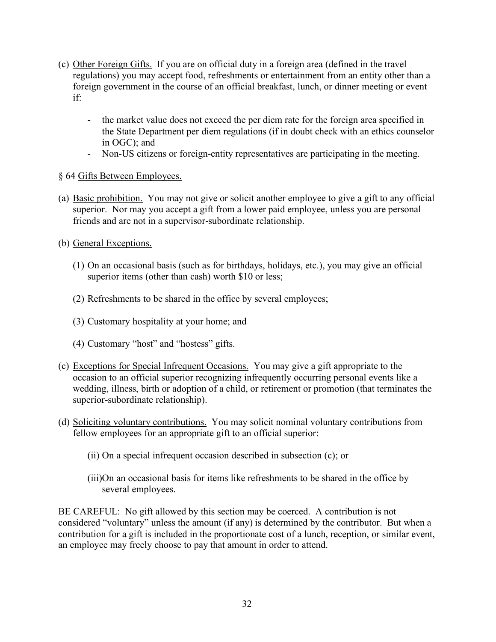- (c) Other Foreign Gifts. If you are on official duty in a foreign area (defined in the travel regulations) you may accept food, refreshments or entertainment from an entity other than a foreign government in the course of an official breakfast, lunch, or dinner meeting or event if:
	- the market value does not exceed the per diem rate for the foreign area specified in the State Department per diem regulations (if in doubt check with an ethics counselor in OGC); and
	- Non-US citizens or foreign-entity representatives are participating in the meeting.
- § 64 Gifts Between Employees.
- (a) Basic prohibition. You may not give or solicit another employee to give a gift to any official superior. Nor may you accept a gift from a lower paid employee, unless you are personal friends and are not in a supervisor-subordinate relationship.
- (b) General Exceptions.
	- (1) On an occasional basis (such as for birthdays, holidays, etc.), you may give an official superior items (other than cash) worth \$10 or less;
	- (2) Refreshments to be shared in the office by several employees;
	- (3) Customary hospitality at your home; and
	- (4) Customary "host" and "hostess" gifts.
- (c) Exceptions for Special Infrequent Occasions. You may give a gift appropriate to the occasion to an official superior recognizing infrequently occurring personal events like a wedding, illness, birth or adoption of a child, or retirement or promotion (that terminates the superior-subordinate relationship).
- (d) Soliciting voluntary contributions. You may solicit nominal voluntary contributions from fellow employees for an appropriate gift to an official superior:
	- (ii) On a special infrequent occasion described in subsection (c); or
	- (iii)On an occasional basis for items like refreshments to be shared in the office by several employees.

BE CAREFUL: No gift allowed by this section may be coerced. A contribution is not considered "voluntary" unless the amount (if any) is determined by the contributor. But when a contribution for a gift is included in the proportionate cost of a lunch, reception, or similar event, an employee may freely choose to pay that amount in order to attend.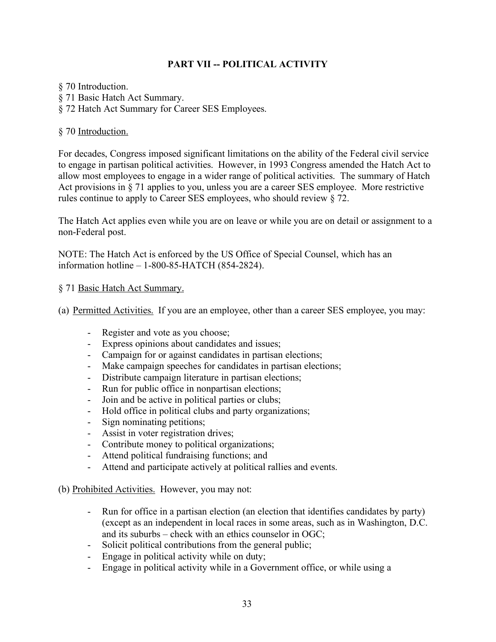# **PART VII -- POLITICAL ACTIVITY**

§ 70 Introduction.

- § 71 Basic Hatch Act Summary.
- § 72 Hatch Act Summary for Career SES Employees.

### § 70 Introduction.

For decades, Congress imposed significant limitations on the ability of the Federal civil service to engage in partisan political activities. However, in 1993 Congress amended the Hatch Act to allow most employees to engage in a wider range of political activities. The summary of Hatch Act provisions in § 71 applies to you, unless you are a career SES employee. More restrictive rules continue to apply to Career SES employees, who should review § 72.

The Hatch Act applies even while you are on leave or while you are on detail or assignment to a non-Federal post.

NOTE: The Hatch Act is enforced by the US Office of Special Counsel, which has an information hotline – 1-800-85-HATCH (854-2824).

#### § 71 Basic Hatch Act Summary.

(a) Permitted Activities. If you are an employee, other than a career SES employee, you may:

- Register and vote as you choose;
- Express opinions about candidates and issues;
- Campaign for or against candidates in partisan elections;
- Make campaign speeches for candidates in partisan elections;
- Distribute campaign literature in partisan elections;
- Run for public office in nonpartisan elections;
- Join and be active in political parties or clubs;
- Hold office in political clubs and party organizations;
- Sign nominating petitions;
- Assist in voter registration drives;
- Contribute money to political organizations;
- Attend political fundraising functions; and
- Attend and participate actively at political rallies and events.
- (b) Prohibited Activities. However, you may not:
	- Run for office in a partisan election (an election that identifies candidates by party) (except as an independent in local races in some areas, such as in Washington, D.C. and its suburbs – check with an ethics counselor in OGC;
	- Solicit political contributions from the general public;
	- Engage in political activity while on duty;
	- Engage in political activity while in a Government office, or while using a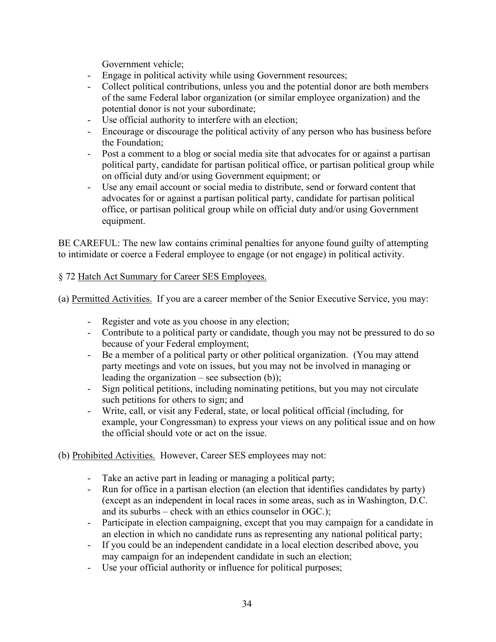Government vehicle;

- Engage in political activity while using Government resources;
- Collect political contributions, unless you and the potential donor are both members of the same Federal labor organization (or similar employee organization) and the potential donor is not your subordinate;
- Use official authority to interfere with an election;
- Encourage or discourage the political activity of any person who has business before the Foundation;
- Post a comment to a blog or social media site that advocates for or against a partisan political party, candidate for partisan political office, or partisan political group while on official duty and/or using Government equipment; or
- Use any email account or social media to distribute, send or forward content that advocates for or against a partisan political party, candidate for partisan political office, or partisan political group while on official duty and/or using Government equipment.

BE CAREFUL: The new law contains criminal penalties for anyone found guilty of attempting to intimidate or coerce a Federal employee to engage (or not engage) in political activity.

### § 72 Hatch Act Summary for Career SES Employees.

(a) Permitted Activities. If you are a career member of the Senior Executive Service, you may:

- Register and vote as you choose in any election;
- Contribute to a political party or candidate, though you may not be pressured to do so because of your Federal employment;
- Be a member of a political party or other political organization. (You may attend party meetings and vote on issues, but you may not be involved in managing or leading the organization – see subsection  $(b)$ );
- Sign political petitions, including nominating petitions, but you may not circulate such petitions for others to sign; and
- Write, call, or visit any Federal, state, or local political official (including, for example, your Congressman) to express your views on any political issue and on how the official should vote or act on the issue.
- (b) Prohibited Activities. However, Career SES employees may not:
	- Take an active part in leading or managing a political party;
	- Run for office in a partisan election (an election that identifies candidates by party) (except as an independent in local races in some areas, such as in Washington, D.C. and its suburbs – check with an ethics counselor in OGC.);
	- Participate in election campaigning, except that you may campaign for a candidate in an election in which no candidate runs as representing any national political party;
	- If you could be an independent candidate in a local election described above, you may campaign for an independent candidate in such an election;
	- Use your official authority or influence for political purposes;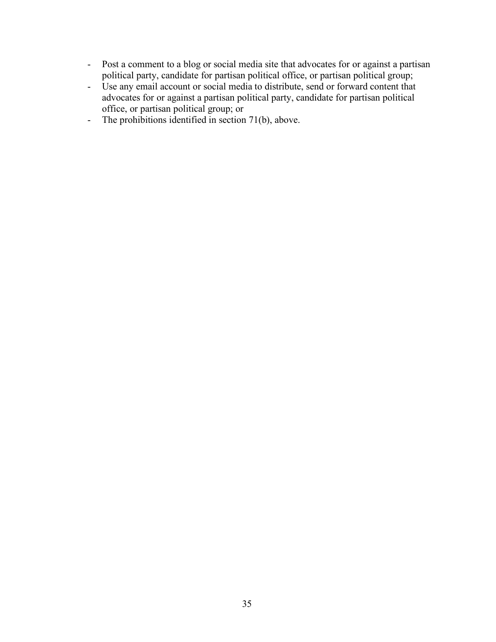- Post a comment to a blog or social media site that advocates for or against a partisan political party, candidate for partisan political office, or partisan political group;
- Use any email account or social media to distribute, send or forward content that advocates for or against a partisan political party, candidate for partisan political office, or partisan political group; or
- The prohibitions identified in section 71(b), above.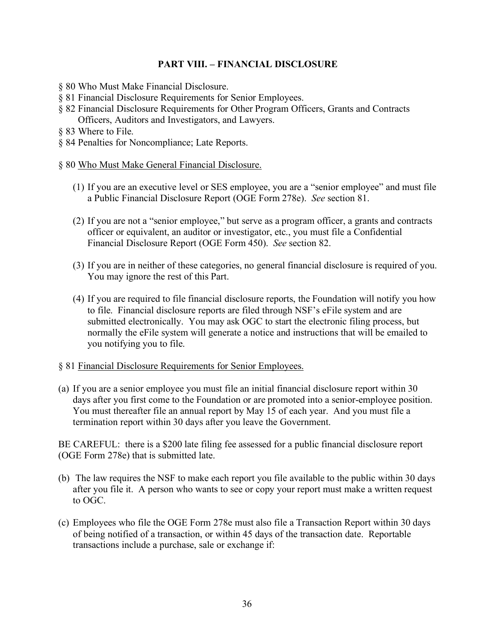# **PART VIII. – FINANCIAL DISCLOSURE**

- § 80 Who Must Make Financial Disclosure.
- § 81 Financial Disclosure Requirements for Senior Employees.
- § 82 Financial Disclosure Requirements for Other Program Officers, Grants and Contracts Officers, Auditors and Investigators, and Lawyers.
- § 83 Where to File.
- § 84 Penalties for Noncompliance; Late Reports.
- § 80 Who Must Make General Financial Disclosure.
	- (1) If you are an executive level or SES employee, you are a "senior employee" and must file a Public Financial Disclosure Report (OGE Form 278e). *See* section 81.
	- (2) If you are not a "senior employee," but serve as a program officer, a grants and contracts officer or equivalent, an auditor or investigator, etc., you must file a Confidential Financial Disclosure Report (OGE Form 450). *See* section 82.
	- (3) If you are in neither of these categories, no general financial disclosure is required of you. You may ignore the rest of this Part.
	- (4) If you are required to file financial disclosure reports, the Foundation will notify you how to file. Financial disclosure reports are filed through NSF's eFile system and are submitted electronically. You may ask OGC to start the electronic filing process, but normally the eFile system will generate a notice and instructions that will be emailed to you notifying you to file.

#### § 81 Financial Disclosure Requirements for Senior Employees.

(a) If you are a senior employee you must file an initial financial disclosure report within 30 days after you first come to the Foundation or are promoted into a senior-employee position. You must thereafter file an annual report by May 15 of each year. And you must file a termination report within 30 days after you leave the Government.

BE CAREFUL: there is a \$200 late filing fee assessed for a public financial disclosure report (OGE Form 278e) that is submitted late.

- (b) The law requires the NSF to make each report you file available to the public within 30 days after you file it. A person who wants to see or copy your report must make a written request to OGC.
- (c) Employees who file the OGE Form 278e must also file a Transaction Report within 30 days of being notified of a transaction, or within 45 days of the transaction date. Reportable transactions include a purchase, sale or exchange if: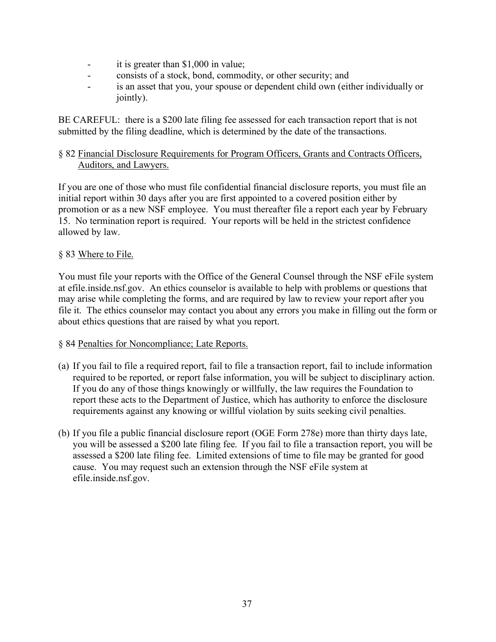- it is greater than \$1,000 in value;
- consists of a stock, bond, commodity, or other security; and
- is an asset that you, your spouse or dependent child own (either individually or jointly).

BE CAREFUL: there is a \$200 late filing fee assessed for each transaction report that is not submitted by the filing deadline, which is determined by the date of the transactions.

# § 82 Financial Disclosure Requirements for Program Officers, Grants and Contracts Officers, Auditors, and Lawyers.

If you are one of those who must file confidential financial disclosure reports, you must file an initial report within 30 days after you are first appointed to a covered position either by promotion or as a new NSF employee. You must thereafter file a report each year by February 15. No termination report is required. Your reports will be held in the strictest confidence allowed by law.

# § 83 Where to File.

You must file your reports with the Office of the General Counsel through the NSF eFile system at efile.inside.nsf.gov. An ethics counselor is available to help with problems or questions that may arise while completing the forms, and are required by law to review your report after you file it. The ethics counselor may contact you about any errors you make in filling out the form or about ethics questions that are raised by what you report.

#### § 84 Penalties for Noncompliance; Late Reports.

- (a) If you fail to file a required report, fail to file a transaction report, fail to include information required to be reported, or report false information, you will be subject to disciplinary action. If you do any of those things knowingly or willfully, the law requires the Foundation to report these acts to the Department of Justice, which has authority to enforce the disclosure requirements against any knowing or willful violation by suits seeking civil penalties.
- (b) If you file a public financial disclosure report (OGE Form 278e) more than thirty days late, you will be assessed a \$200 late filing fee. If you fail to file a transaction report, you will be assessed a \$200 late filing fee. Limited extensions of time to file may be granted for good cause. You may request such an extension through the NSF eFile system at efile.inside.nsf.gov.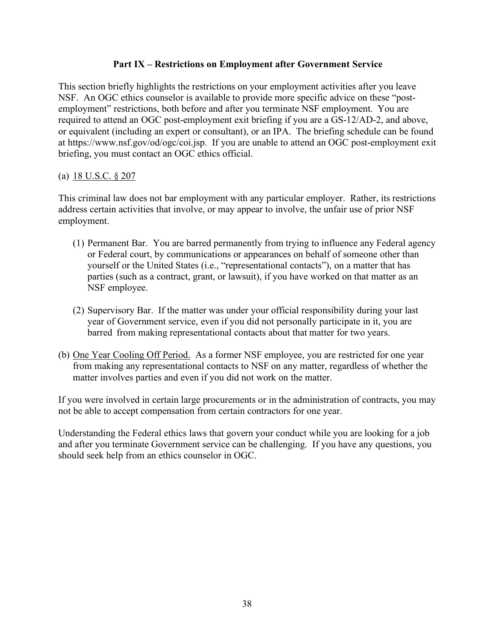# **Part IX – Restrictions on Employment after Government Service**

This section briefly highlights the restrictions on your employment activities after you leave NSF. An OGC ethics counselor is available to provide more specific advice on these "postemployment" restrictions, both before and after you terminate NSF employment. You are required to attend an OGC post-employment exit briefing if you are a GS-12/AD-2, and above, or equivalent (including an expert or consultant), or an IPA. The briefing schedule can be found at https://www.nsf.gov/od/ogc/coi.jsp. If you are unable to attend an OGC post-employment exit briefing, you must contact an OGC ethics official.

# (a)  $18 \text{ U.S.C. }$  \$ 207

This criminal law does not bar employment with any particular employer. Rather, its restrictions address certain activities that involve, or may appear to involve, the unfair use of prior NSF employment.

- (1) Permanent Bar. You are barred permanently from trying to influence any Federal agency or Federal court, by communications or appearances on behalf of someone other than yourself or the United States (i.e., "representational contacts"), on a matter that has parties (such as a contract, grant, or lawsuit), if you have worked on that matter as an NSF employee.
- (2) Supervisory Bar. If the matter was under your official responsibility during your last year of Government service, even if you did not personally participate in it, you are barred from making representational contacts about that matter for two years.
- (b) One Year Cooling Off Period. As a former NSF employee, you are restricted for one year from making any representational contacts to NSF on any matter, regardless of whether the matter involves parties and even if you did not work on the matter.

If you were involved in certain large procurements or in the administration of contracts, you may not be able to accept compensation from certain contractors for one year.

Understanding the Federal ethics laws that govern your conduct while you are looking for a job and after you terminate Government service can be challenging. If you have any questions, you should seek help from an ethics counselor in OGC.